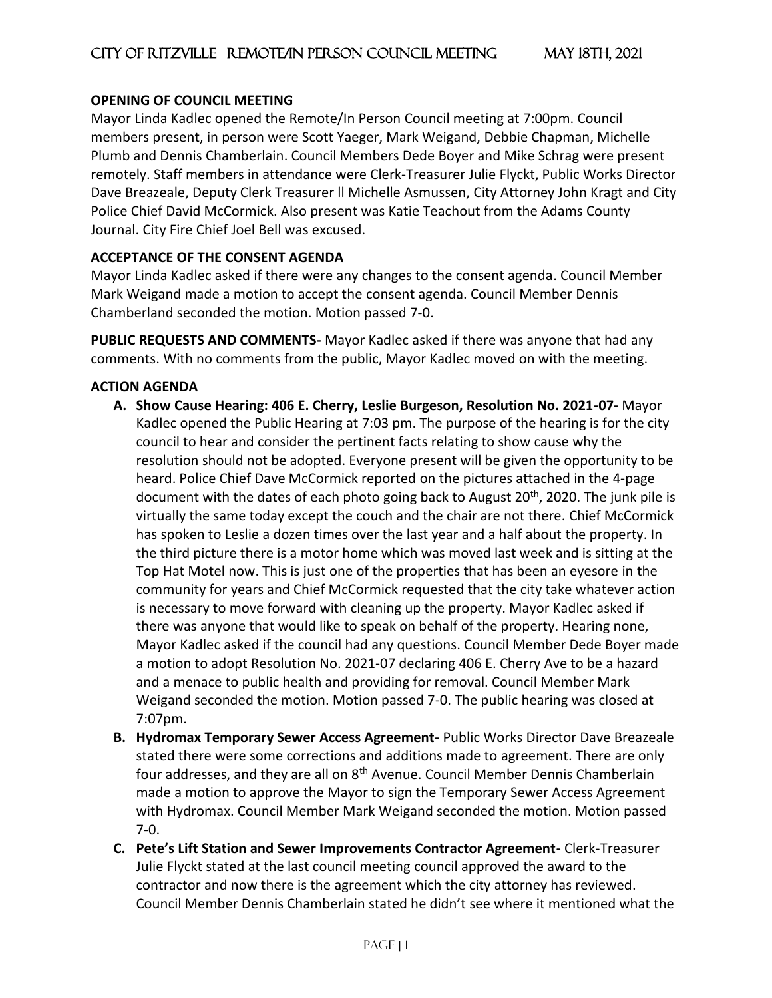### **OPENING OF COUNCIL MEETING**

Mayor Linda Kadlec opened the Remote/In Person Council meeting at 7:00pm. Council members present, in person were Scott Yaeger, Mark Weigand, Debbie Chapman, Michelle Plumb and Dennis Chamberlain. Council Members Dede Boyer and Mike Schrag were present remotely. Staff members in attendance were Clerk-Treasurer Julie Flyckt, Public Works Director Dave Breazeale, Deputy Clerk Treasurer ll Michelle Asmussen, City Attorney John Kragt and City Police Chief David McCormick. Also present was Katie Teachout from the Adams County Journal. City Fire Chief Joel Bell was excused.

# **ACCEPTANCE OF THE CONSENT AGENDA**

Mayor Linda Kadlec asked if there were any changes to the consent agenda. Council Member Mark Weigand made a motion to accept the consent agenda. Council Member Dennis Chamberland seconded the motion. Motion passed 7-0.

**PUBLIC REQUESTS AND COMMENTS-** Mayor Kadlec asked if there was anyone that had any comments. With no comments from the public, Mayor Kadlec moved on with the meeting.

### **ACTION AGENDA**

- **A. Show Cause Hearing: 406 E. Cherry, Leslie Burgeson, Resolution No. 2021-07-** Mayor Kadlec opened the Public Hearing at 7:03 pm. The purpose of the hearing is for the city council to hear and consider the pertinent facts relating to show cause why the resolution should not be adopted. Everyone present will be given the opportunity to be heard. Police Chief Dave McCormick reported on the pictures attached in the 4-page document with the dates of each photo going back to August 20<sup>th</sup>, 2020. The junk pile is virtually the same today except the couch and the chair are not there. Chief McCormick has spoken to Leslie a dozen times over the last year and a half about the property. In the third picture there is a motor home which was moved last week and is sitting at the Top Hat Motel now. This is just one of the properties that has been an eyesore in the community for years and Chief McCormick requested that the city take whatever action is necessary to move forward with cleaning up the property. Mayor Kadlec asked if there was anyone that would like to speak on behalf of the property. Hearing none, Mayor Kadlec asked if the council had any questions. Council Member Dede Boyer made a motion to adopt Resolution No. 2021-07 declaring 406 E. Cherry Ave to be a hazard and a menace to public health and providing for removal. Council Member Mark Weigand seconded the motion. Motion passed 7-0. The public hearing was closed at 7:07pm.
- **B. Hydromax Temporary Sewer Access Agreement-** Public Works Director Dave Breazeale stated there were some corrections and additions made to agreement. There are only four addresses, and they are all on 8<sup>th</sup> Avenue. Council Member Dennis Chamberlain made a motion to approve the Mayor to sign the Temporary Sewer Access Agreement with Hydromax. Council Member Mark Weigand seconded the motion. Motion passed 7-0.
- **C. Pete's Lift Station and Sewer Improvements Contractor Agreement-** Clerk-Treasurer Julie Flyckt stated at the last council meeting council approved the award to the contractor and now there is the agreement which the city attorney has reviewed. Council Member Dennis Chamberlain stated he didn't see where it mentioned what the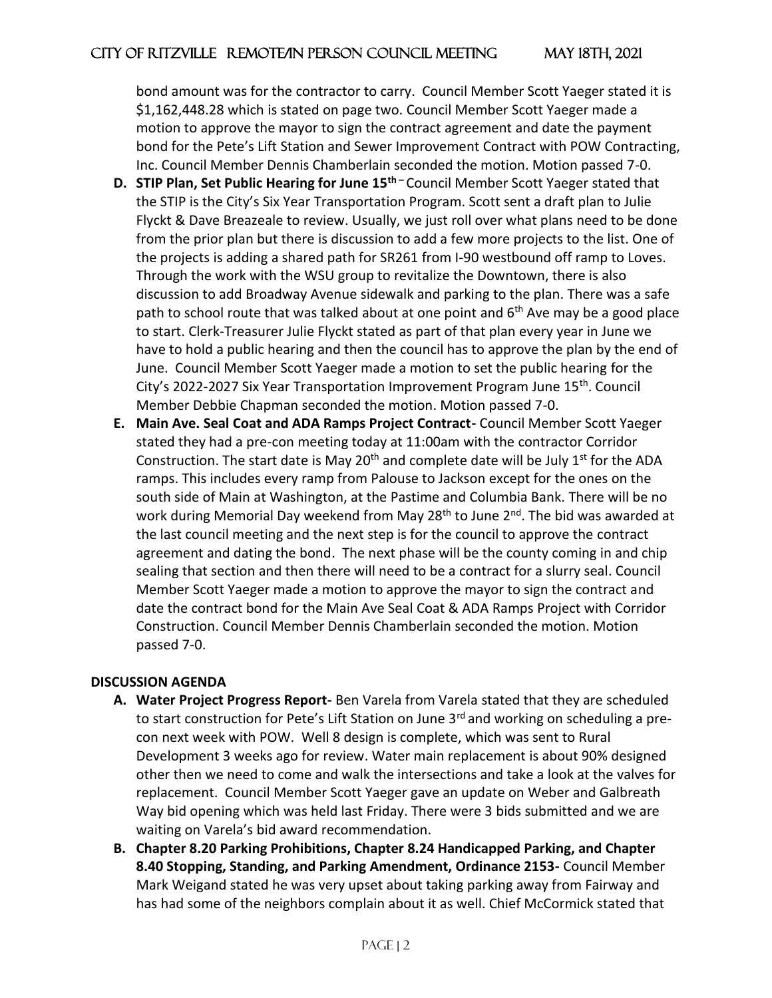bond amount was for the contractor to carry. Council Member Scott Yaeger stated it is \$1,162,448.28 which is stated on page two. Council Member Scott Yaeger made a motion to approve the mayor to sign the contract agreement and date the payment bond for the Pete's Lift Station and Sewer Improvement Contract with POW Contracting, Inc. Council Member Dennis Chamberlain seconded the motion. Motion passed 7-0.

- **D. STIP Plan, Set Public Hearing for June 15th –** Council Member Scott Yaeger stated that the STIP is the City's Six Year Transportation Program. Scott sent a draft plan to Julie Flyckt & Dave Breazeale to review. Usually, we just roll over what plans need to be done from the prior plan but there is discussion to add a few more projects to the list. One of the projects is adding a shared path for SR261 from I-90 westbound off ramp to Loves. Through the work with the WSU group to revitalize the Downtown, there is also discussion to add Broadway Avenue sidewalk and parking to the plan. There was a safe path to school route that was talked about at one point and 6<sup>th</sup> Ave may be a good place to start. Clerk-Treasurer Julie Flyckt stated as part of that plan every year in June we have to hold a public hearing and then the council has to approve the plan by the end of June. Council Member Scott Yaeger made a motion to set the public hearing for the City's 2022-2027 Six Year Transportation Improvement Program June 15<sup>th</sup>. Council Member Debbie Chapman seconded the motion. Motion passed 7-0.
- **E. Main Ave. Seal Coat and ADA Ramps Project Contract-** Council Member Scott Yaeger stated they had a pre-con meeting today at 11:00am with the contractor Corridor Construction. The start date is May 20<sup>th</sup> and complete date will be July  $1<sup>st</sup>$  for the ADA ramps. This includes every ramp from Palouse to Jackson except for the ones on the south side of Main at Washington, at the Pastime and Columbia Bank. There will be no work during Memorial Day weekend from May 28<sup>th</sup> to June 2<sup>nd</sup>. The bid was awarded at the last council meeting and the next step is for the council to approve the contract agreement and dating the bond. The next phase will be the county coming in and chip sealing that section and then there will need to be a contract for a slurry seal. Council Member Scott Yaeger made a motion to approve the mayor to sign the contract and date the contract bond for the Main Ave Seal Coat & ADA Ramps Project with Corridor Construction. Council Member Dennis Chamberlain seconded the motion. Motion passed 7-0.

### **DISCUSSION AGENDA**

- **A. Water Project Progress Report-** Ben Varela from Varela stated that they are scheduled to start construction for Pete's Lift Station on June  $3<sup>rd</sup>$  and working on scheduling a precon next week with POW. Well 8 design is complete, which was sent to Rural Development 3 weeks ago for review. Water main replacement is about 90% designed other then we need to come and walk the intersections and take a look at the valves for replacement. Council Member Scott Yaeger gave an update on Weber and Galbreath Way bid opening which was held last Friday. There were 3 bids submitted and we are waiting on Varela's bid award recommendation.
- **B. Chapter 8.20 Parking Prohibitions, Chapter 8.24 Handicapped Parking, and Chapter 8.40 Stopping, Standing, and Parking Amendment, Ordinance 2153-** Council Member Mark Weigand stated he was very upset about taking parking away from Fairway and has had some of the neighbors complain about it as well. Chief McCormick stated that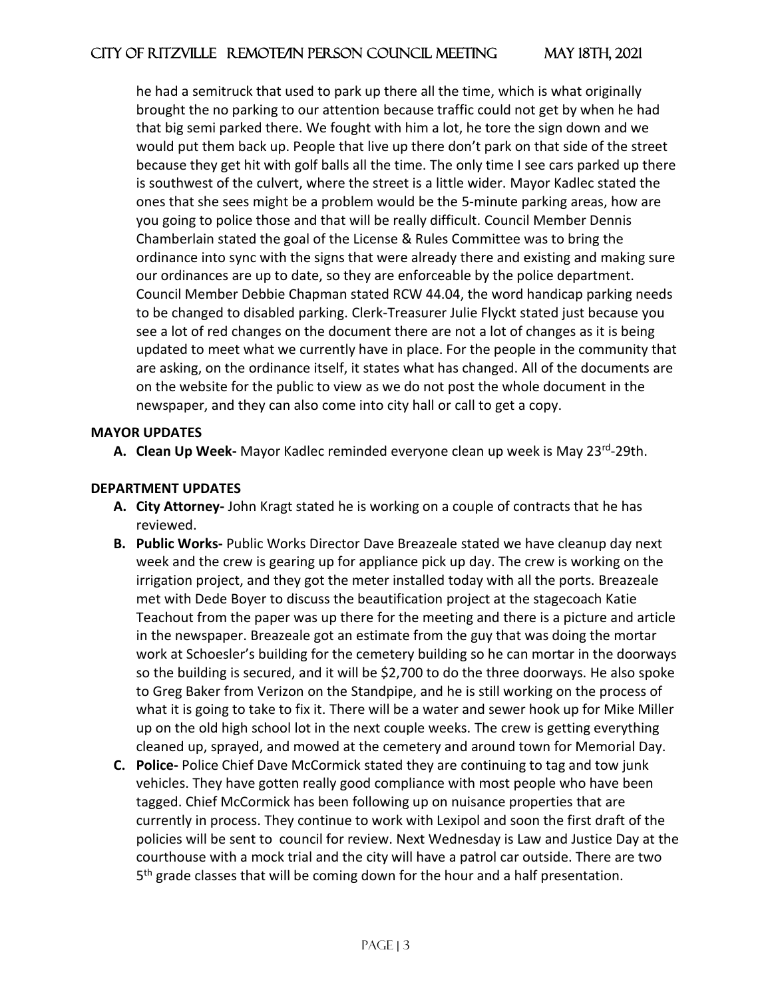he had a semitruck that used to park up there all the time, which is what originally brought the no parking to our attention because traffic could not get by when he had that big semi parked there. We fought with him a lot, he tore the sign down and we would put them back up. People that live up there don't park on that side of the street because they get hit with golf balls all the time. The only time I see cars parked up there is southwest of the culvert, where the street is a little wider. Mayor Kadlec stated the ones that she sees might be a problem would be the 5-minute parking areas, how are you going to police those and that will be really difficult. Council Member Dennis Chamberlain stated the goal of the License & Rules Committee was to bring the ordinance into sync with the signs that were already there and existing and making sure our ordinances are up to date, so they are enforceable by the police department. Council Member Debbie Chapman stated RCW 44.04, the word handicap parking needs to be changed to disabled parking. Clerk-Treasurer Julie Flyckt stated just because you see a lot of red changes on the document there are not a lot of changes as it is being updated to meet what we currently have in place. For the people in the community that are asking, on the ordinance itself, it states what has changed. All of the documents are on the website for the public to view as we do not post the whole document in the newspaper, and they can also come into city hall or call to get a copy.

#### **MAYOR UPDATES**

A. Clean Up Week- Mayor Kadlec reminded everyone clean up week is May 23<sup>rd</sup>-29th.

### **DEPARTMENT UPDATES**

- **A. City Attorney-** John Kragt stated he is working on a couple of contracts that he has reviewed.
- **B. Public Works-** Public Works Director Dave Breazeale stated we have cleanup day next week and the crew is gearing up for appliance pick up day. The crew is working on the irrigation project, and they got the meter installed today with all the ports. Breazeale met with Dede Boyer to discuss the beautification project at the stagecoach Katie Teachout from the paper was up there for the meeting and there is a picture and article in the newspaper. Breazeale got an estimate from the guy that was doing the mortar work at Schoesler's building for the cemetery building so he can mortar in the doorways so the building is secured, and it will be \$2,700 to do the three doorways. He also spoke to Greg Baker from Verizon on the Standpipe, and he is still working on the process of what it is going to take to fix it. There will be a water and sewer hook up for Mike Miller up on the old high school lot in the next couple weeks. The crew is getting everything cleaned up, sprayed, and mowed at the cemetery and around town for Memorial Day.
- **C. Police-** Police Chief Dave McCormick stated they are continuing to tag and tow junk vehicles. They have gotten really good compliance with most people who have been tagged. Chief McCormick has been following up on nuisance properties that are currently in process. They continue to work with Lexipol and soon the first draft of the policies will be sent to council for review. Next Wednesday is Law and Justice Day at the courthouse with a mock trial and the city will have a patrol car outside. There are two 5<sup>th</sup> grade classes that will be coming down for the hour and a half presentation.